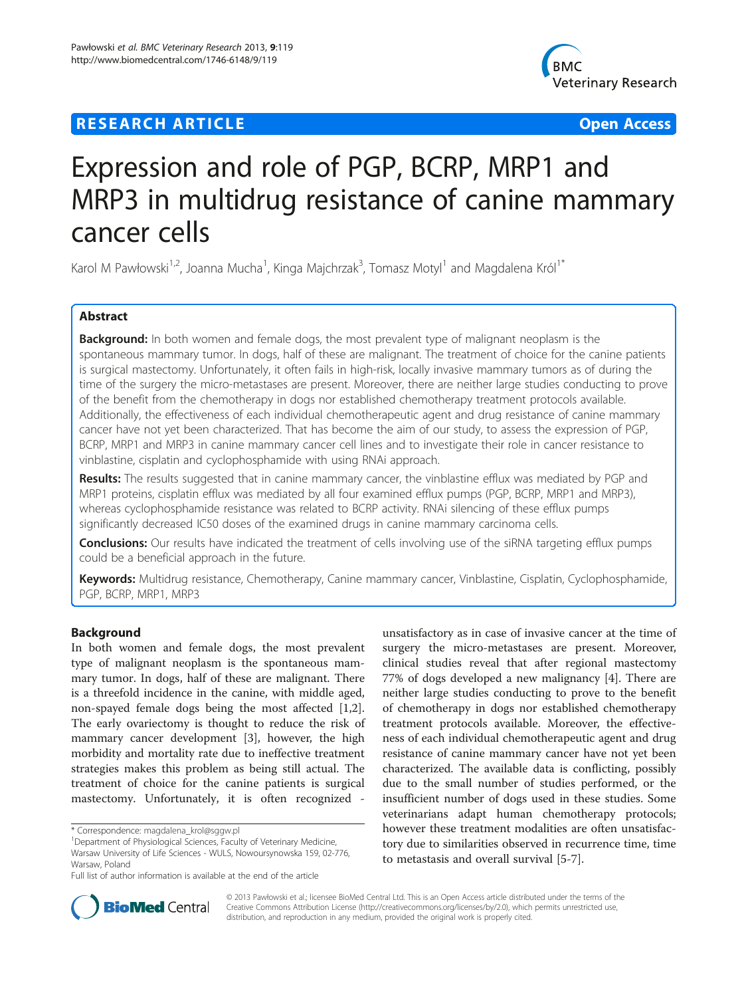## **RESEARCH ARTICLE Example 2014 12:30 The Contract of Contract ACCESS**



# Expression and role of PGP, BCRP, MRP1 and MRP3 in multidrug resistance of canine mammary cancer cells

Karol M Pawłowski<sup>1,2</sup>, Joanna Mucha<sup>1</sup>, Kinga Majchrzak<sup>3</sup>, Tomasz Motyl<sup>1</sup> and Magdalena Król<sup>1\*</sup>

## Abstract

Background: In both women and female dogs, the most prevalent type of malignant neoplasm is the spontaneous mammary tumor. In dogs, half of these are malignant. The treatment of choice for the canine patients is surgical mastectomy. Unfortunately, it often fails in high-risk, locally invasive mammary tumors as of during the time of the surgery the micro-metastases are present. Moreover, there are neither large studies conducting to prove of the benefit from the chemotherapy in dogs nor established chemotherapy treatment protocols available. Additionally, the effectiveness of each individual chemotherapeutic agent and drug resistance of canine mammary cancer have not yet been characterized. That has become the aim of our study, to assess the expression of PGP, BCRP, MRP1 and MRP3 in canine mammary cancer cell lines and to investigate their role in cancer resistance to vinblastine, cisplatin and cyclophosphamide with using RNAi approach.

Results: The results suggested that in canine mammary cancer, the vinblastine efflux was mediated by PGP and MRP1 proteins, cisplatin efflux was mediated by all four examined efflux pumps (PGP, BCRP, MRP1 and MRP3), whereas cyclophosphamide resistance was related to BCRP activity. RNAi silencing of these efflux pumps significantly decreased IC50 doses of the examined drugs in canine mammary carcinoma cells.

Conclusions: Our results have indicated the treatment of cells involving use of the siRNA targeting efflux pumps could be a beneficial approach in the future.

Keywords: Multidrug resistance, Chemotherapy, Canine mammary cancer, Vinblastine, Cisplatin, Cyclophosphamide, PGP, BCRP, MRP1, MRP3

#### Background

In both women and female dogs, the most prevalent type of malignant neoplasm is the spontaneous mammary tumor. In dogs, half of these are malignant. There is a threefold incidence in the canine, with middle aged, non-spayed female dogs being the most affected [\[1,2](#page-8-0)]. The early ovariectomy is thought to reduce the risk of mammary cancer development [\[3](#page-8-0)], however, the high morbidity and mortality rate due to ineffective treatment strategies makes this problem as being still actual. The treatment of choice for the canine patients is surgical mastectomy. Unfortunately, it is often recognized -

unsatisfactory as in case of invasive cancer at the time of surgery the micro-metastases are present. Moreover, clinical studies reveal that after regional mastectomy 77% of dogs developed a new malignancy [[4](#page-8-0)]. There are neither large studies conducting to prove to the benefit of chemotherapy in dogs nor established chemotherapy treatment protocols available. Moreover, the effectiveness of each individual chemotherapeutic agent and drug resistance of canine mammary cancer have not yet been characterized. The available data is conflicting, possibly due to the small number of studies performed, or the insufficient number of dogs used in these studies. Some veterinarians adapt human chemotherapy protocols; however these treatment modalities are often unsatisfactory due to similarities observed in recurrence time, time to metastasis and overall survival [[5-7\]](#page-8-0).



© 2013 Pawłowski et al.; licensee BioMed Central Ltd. This is an Open Access article distributed under the terms of the Creative Commons Attribution License (<http://creativecommons.org/licenses/by/2.0>), which permits unrestricted use, distribution, and reproduction in any medium, provided the original work is properly cited.

<sup>\*</sup> Correspondence: [magdalena\\_krol@sggw.pl](mailto:magdalena_krol@sggw.pl) <sup>1</sup>

<sup>&</sup>lt;sup>1</sup>Department of Physiological Sciences, Faculty of Veterinary Medicine, Warsaw University of Life Sciences - WULS, Nowoursynowska 159, 02-776, Warsaw, Poland

Full list of author information is available at the end of the article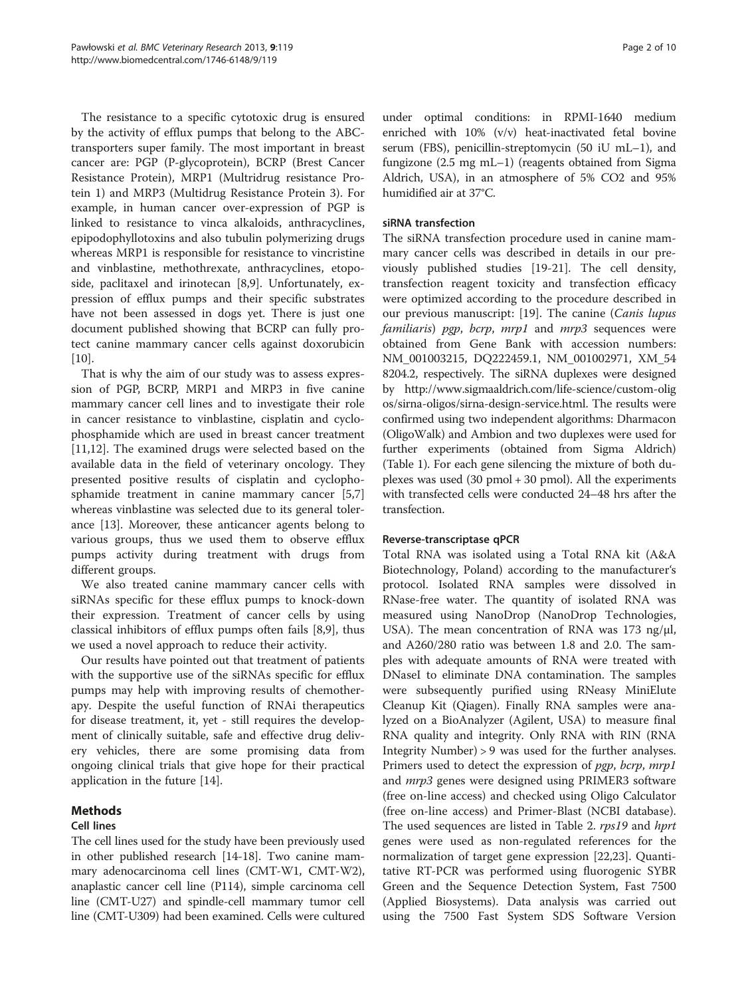The resistance to a specific cytotoxic drug is ensured by the activity of efflux pumps that belong to the ABCtransporters super family. The most important in breast cancer are: PGP (P-glycoprotein), BCRP (Brest Cancer Resistance Protein), MRP1 (Multridrug resistance Protein 1) and MRP3 (Multidrug Resistance Protein 3). For example, in human cancer over-expression of PGP is linked to resistance to vinca alkaloids, anthracyclines, epipodophyllotoxins and also tubulin polymerizing drugs whereas MRP1 is responsible for resistance to vincristine and vinblastine, methothrexate, anthracyclines, etoposide, paclitaxel and irinotecan [[8,9\]](#page-8-0). Unfortunately, expression of efflux pumps and their specific substrates have not been assessed in dogs yet. There is just one document published showing that BCRP can fully protect canine mammary cancer cells against doxorubicin  $[10]$  $[10]$ .

That is why the aim of our study was to assess expression of PGP, BCRP, MRP1 and MRP3 in five canine mammary cancer cell lines and to investigate their role in cancer resistance to vinblastine, cisplatin and cyclophosphamide which are used in breast cancer treatment [[11,12\]](#page-8-0). The examined drugs were selected based on the available data in the field of veterinary oncology. They presented positive results of cisplatin and cyclophosphamide treatment in canine mammary cancer [\[5,7](#page-8-0)] whereas vinblastine was selected due to its general tolerance [[13\]](#page-8-0). Moreover, these anticancer agents belong to various groups, thus we used them to observe efflux pumps activity during treatment with drugs from different groups.

We also treated canine mammary cancer cells with siRNAs specific for these efflux pumps to knock-down their expression. Treatment of cancer cells by using classical inhibitors of efflux pumps often fails [\[8,9](#page-8-0)], thus we used a novel approach to reduce their activity.

Our results have pointed out that treatment of patients with the supportive use of the siRNAs specific for efflux pumps may help with improving results of chemotherapy. Despite the useful function of RNAi therapeutics for disease treatment, it, yet - still requires the development of clinically suitable, safe and effective drug delivery vehicles, there are some promising data from ongoing clinical trials that give hope for their practical application in the future [\[14](#page-8-0)].

## Methods

## Cell lines

The cell lines used for the study have been previously used in other published research [[14-18\]](#page-8-0). Two canine mammary adenocarcinoma cell lines (CMT-W1, CMT-W2), anaplastic cancer cell line (P114), simple carcinoma cell line (CMT-U27) and spindle-cell mammary tumor cell line (CMT-U309) had been examined. Cells were cultured under optimal conditions: in RPMI-1640 medium enriched with 10% (v/v) heat-inactivated fetal bovine serum (FBS), penicillin-streptomycin (50 iU mL–1), and fungizone (2.5 mg mL–1) (reagents obtained from Sigma Aldrich, USA), in an atmosphere of 5% CO2 and 95% humidified air at 37°C.

## siRNA transfection

The siRNA transfection procedure used in canine mammary cancer cells was described in details in our previously published studies [\[19](#page-8-0)-[21\]](#page-8-0). The cell density, transfection reagent toxicity and transfection efficacy were optimized according to the procedure described in our previous manuscript: [[19](#page-8-0)]. The canine (Canis lupus familiaris) pgp, bcrp, mrp1 and mrp3 sequences were obtained from Gene Bank with accession numbers: NM\_001003215, DQ222459.1, NM\_001002971, XM\_54 8204.2, respectively. The siRNA duplexes were designed by [http://www.sigmaaldrich.com/life-science/custom-olig](http://www.sigmaaldrich.com/life-science/custom-oligos/sirna-oligos/sirna-design-service.html) [os/sirna-oligos/sirna-design-service.html](http://www.sigmaaldrich.com/life-science/custom-oligos/sirna-oligos/sirna-design-service.html). The results were confirmed using two independent algorithms: Dharmacon (OligoWalk) and Ambion and two duplexes were used for further experiments (obtained from Sigma Aldrich) (Table [1](#page-2-0)). For each gene silencing the mixture of both duplexes was used  $(30 \text{ pmol} + 30 \text{ pmol})$ . All the experiments with transfected cells were conducted 24–48 hrs after the transfection.

## Reverse-transcriptase qPCR

Total RNA was isolated using a Total RNA kit (A&A Biotechnology, Poland) according to the manufacturer's protocol. Isolated RNA samples were dissolved in RNase-free water. The quantity of isolated RNA was measured using NanoDrop (NanoDrop Technologies, USA). The mean concentration of RNA was 173 ng/μl, and A260/280 ratio was between 1.8 and 2.0. The samples with adequate amounts of RNA were treated with DNaseI to eliminate DNA contamination. The samples were subsequently purified using RNeasy MiniElute Cleanup Kit (Qiagen). Finally RNA samples were analyzed on a BioAnalyzer (Agilent, USA) to measure final RNA quality and integrity. Only RNA with RIN (RNA Integrity Number) > 9 was used for the further analyses. Primers used to detect the expression of *pgp*, *bcrp*, *mrp1* and *mrp3* genes were designed using PRIMER3 software (free on-line access) and checked using Oligo Calculator (free on-line access) and Primer-Blast (NCBI database). The used sequences are listed in Table [2](#page-2-0). rps19 and hprt genes were used as non-regulated references for the normalization of target gene expression [[22,23\]](#page-8-0). Quantitative RT-PCR was performed using fluorogenic SYBR Green and the Sequence Detection System, Fast 7500 (Applied Biosystems). Data analysis was carried out using the 7500 Fast System SDS Software Version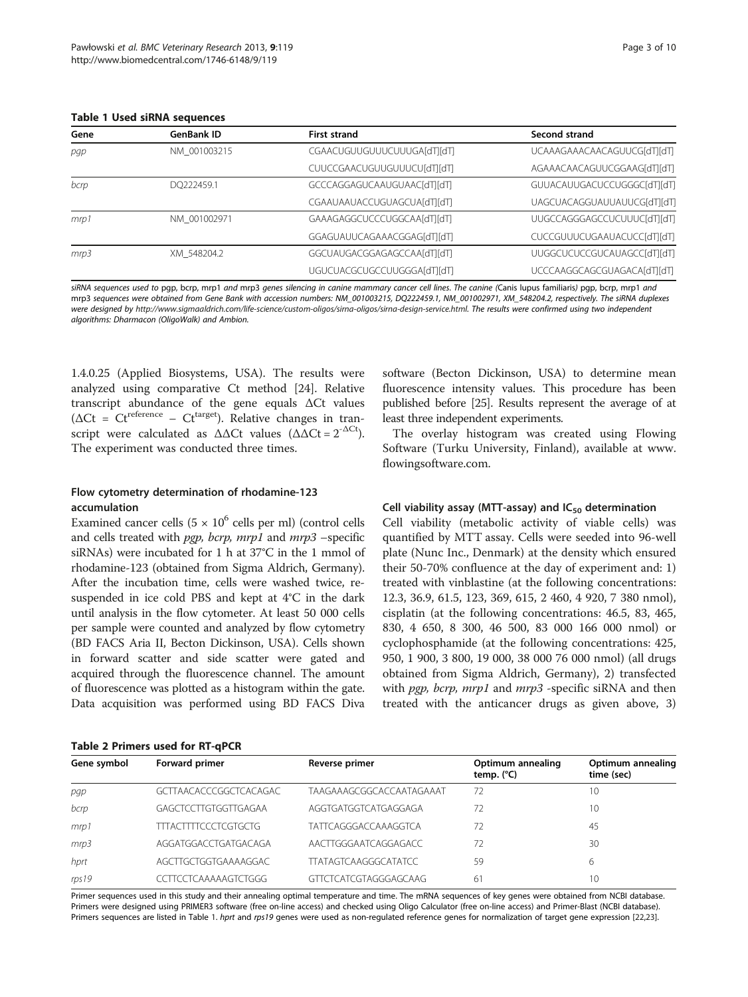<span id="page-2-0"></span>Table 1 Used siRNA sequences

| Gene | <b>GenBank ID</b> | <b>First strand</b>         | Second strand                      |
|------|-------------------|-----------------------------|------------------------------------|
| pap  | NM 001003215      | CGAACUGUUGUUUCUUUGA[dT][dT] | UCAAAGAAACAACAGUUCG[dT][dT]        |
|      |                   | CUUCCGAACUGUUGUUUCU[dT][dT] | AGAAACAACAGUUCGGAAG[dT][dT]        |
| bcrp | DO222459.1        | GCCCAGGAGUCAAUGUAAC[dT][dT] | GUUACAUUGACUCCUGGGC[dT][dT]        |
|      |                   | CGAAUAAUACCUGUAGCUA[dT][dT] | UAGCUACAGGUAUUAUUCG[dT][dT]        |
| mrp1 | NM 001002971      | GAAAGAGGCUCCCUGGCAA[dT][dT] | UUGCCAGGGAGCCUCUUUC[dT][dT]        |
|      |                   | GGAGUAUUCAGAAACGGAG[dT][dT] | CUCCGUUUCUGAAUACUCC[dT][dT]        |
| mrp3 | XM 548204.2       | GGCUAUGACGGAGAGCCAA[dT][dT] | <b>UUGGCUCUCCGUCAUAGCC[dT][dT]</b> |
|      |                   | UGUCUACGCUGCCUUGGGA[dT][dT] | UCCCAAGGCAGCGUAGACA[dT][dT]        |

siRNA sequences used to pgp, bcrp, mrp1 and mrp3 genes silencing in canine mammary cancer cell lines. The canine (Canis lupus familiaris) pgp, bcrp, mrp1 and mrp3 sequences were obtained from Gene Bank with accession numbers: NM\_001003215, DQ222459.1, NM\_001002971, XM\_548204.2, respectively. The siRNA duplexes were designed by <http://www.sigmaaldrich.com/life-science/custom-oligos/sirna-oligos/sirna-design-service.html>. The results were confirmed using two independent algorithms: Dharmacon (OligoWalk) and Ambion.

1.4.0.25 (Applied Biosystems, USA). The results were analyzed using comparative Ct method [\[24](#page-8-0)]. Relative transcript abundance of the gene equals ΔCt values ( $\Delta$ Ct = Ct<sup>reference</sup> – Ct<sup>target</sup>). Relative changes in transcript were calculated as  $\Delta \Delta Ct$  values  $(\Delta \Delta Ct = 2^{-\Delta Ct})$ . The experiment was conducted three times.

#### Flow cytometry determination of rhodamine-123 accumulation

Table 2 Primers used for RT-qPCR

Examined cancer cells  $(5 \times 10^6 \text{ cells per ml})$  (control cells and cells treated with  $pgp$ , bcrp, mrp1 and mrp3 -specific siRNAs) were incubated for 1 h at 37°C in the 1 mmol of rhodamine-123 (obtained from Sigma Aldrich, Germany). After the incubation time, cells were washed twice, resuspended in ice cold PBS and kept at 4°C in the dark until analysis in the flow cytometer. At least 50 000 cells per sample were counted and analyzed by flow cytometry (BD FACS Aria II, Becton Dickinson, USA). Cells shown in forward scatter and side scatter were gated and acquired through the fluorescence channel. The amount of fluorescence was plotted as a histogram within the gate. Data acquisition was performed using BD FACS Diva

|  | software (Becton Dickinson, USA) to determine mean         |  |  |  |
|--|------------------------------------------------------------|--|--|--|
|  | fluorescence intensity values. This procedure has been     |  |  |  |
|  | published before [25]. Results represent the average of at |  |  |  |
|  | least three independent experiments.                       |  |  |  |

The overlay histogram was created using Flowing Software (Turku University, Finland), available at [www.](http://www.flowingsoftware.com) [flowingsoftware.com.](http://www.flowingsoftware.com)

#### Cell viability assay (MTT-assay) and  $IC_{50}$  determination

Cell viability (metabolic activity of viable cells) was quantified by MTT assay. Cells were seeded into 96-well plate (Nunc Inc., Denmark) at the density which ensured their 50-70% confluence at the day of experiment and: 1) treated with vinblastine (at the following concentrations: 12.3, 36.9, 61.5, 123, 369, 615, 2 460, 4 920, 7 380 nmol), cisplatin (at the following concentrations: 46.5, 83, 465, 830, 4 650, 8 300, 46 500, 83 000 166 000 nmol) or cyclophosphamide (at the following concentrations: 425, 950, 1 900, 3 800, 19 000, 38 000 76 000 nmol) (all drugs obtained from Sigma Aldrich, Germany), 2) transfected with *pgp, bcrp, mrp1* and *mrp3* -specific siRNA and then treated with the anticancer drugs as given above, 3)

| Gene symbol | Forward primer                | Reverse primer               | Optimum annealing<br>temp. $(^{\circ}C)$ | Optimum annealing<br>time (sec) |
|-------------|-------------------------------|------------------------------|------------------------------------------|---------------------------------|
| pgp         | <b>GCTTAACACCCGGCTCACAGAC</b> | TAAGAAAGCGGCACCAATAGAAAT     | 72                                       | 10                              |
| bcrp        | GAGCTCCTTGTGGTTGAGAA          | AGGTGATGGTCATGAGGAGA         | 72                                       | 10                              |
| mrp1        | <b>TTTACTTTTCCCTCGTGCTG</b>   | <b>TATTCAGGGACCAAAGGTCA</b>  | 72                                       | 45                              |
| mrp3        | AGGATGGACCTGATGACAGA          | AACTTGGGAATCAGGAGACC         | 72                                       | 30                              |
| hprt        | AGCTTGCTGGTGAAAAGGAC          | <b>TTATAGTCAAGGGCATATCC</b>  | 59                                       | 6                               |
| rps19       | CCTTCCTCAAAAAGTCTGGG          | <b>GTTCTCATCGTAGGGAGCAAG</b> | 61                                       | 10                              |

Primer sequences used in this study and their annealing optimal temperature and time. The mRNA sequences of key genes were obtained from NCBI database. Primers were designed using PRIMER3 software (free on-line access) and checked using Oligo Calculator (free on-line access) and Primer-Blast (NCBI database). Primers sequences are listed in Table 1. hprt and rps19 genes were used as non-regulated reference genes for normalization of target gene expression [[22,23\]](#page-8-0).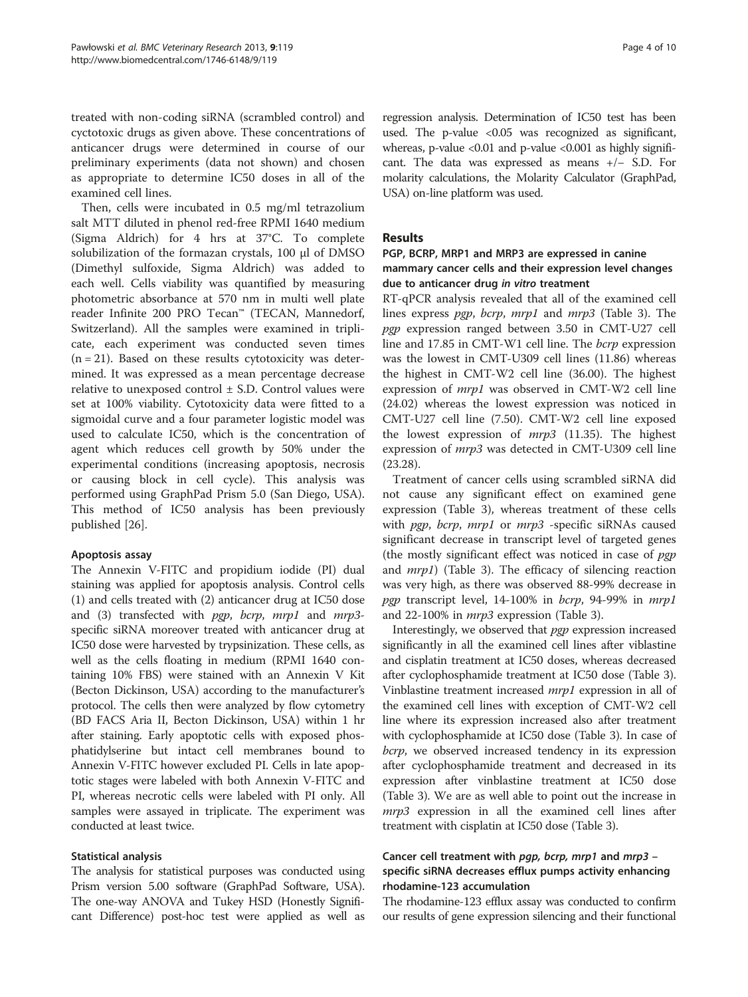treated with non-coding siRNA (scrambled control) and cyctotoxic drugs as given above. These concentrations of anticancer drugs were determined in course of our preliminary experiments (data not shown) and chosen as appropriate to determine IC50 doses in all of the examined cell lines.

Then, cells were incubated in 0.5 mg/ml tetrazolium salt MTT diluted in phenol red-free RPMI 1640 medium (Sigma Aldrich) for 4 hrs at 37°C. To complete solubilization of the formazan crystals, 100 μl of DMSO (Dimethyl sulfoxide, Sigma Aldrich) was added to each well. Cells viability was quantified by measuring photometric absorbance at 570 nm in multi well plate reader Infinite 200 PRO Tecan™ (TECAN, Mannedorf, Switzerland). All the samples were examined in triplicate, each experiment was conducted seven times  $(n = 21)$ . Based on these results cytotoxicity was determined. It was expressed as a mean percentage decrease relative to unexposed control  $\pm$  S.D. Control values were set at 100% viability. Cytotoxicity data were fitted to a sigmoidal curve and a four parameter logistic model was used to calculate IC50, which is the concentration of agent which reduces cell growth by 50% under the experimental conditions (increasing apoptosis, necrosis or causing block in cell cycle). This analysis was performed using GraphPad Prism 5.0 (San Diego, USA). This method of IC50 analysis has been previously published [\[26](#page-9-0)].

#### Apoptosis assay

The Annexin V-FITC and propidium iodide (PI) dual staining was applied for apoptosis analysis. Control cells (1) and cells treated with (2) anticancer drug at IC50 dose and (3) transfected with *pgp*, *bcrp*, *mrp1* and *mrp3*specific siRNA moreover treated with anticancer drug at IC50 dose were harvested by trypsinization. These cells, as well as the cells floating in medium (RPMI 1640 containing 10% FBS) were stained with an Annexin V Kit (Becton Dickinson, USA) according to the manufacturer's protocol. The cells then were analyzed by flow cytometry (BD FACS Aria II, Becton Dickinson, USA) within 1 hr after staining. Early apoptotic cells with exposed phosphatidylserine but intact cell membranes bound to Annexin V-FITC however excluded PI. Cells in late apoptotic stages were labeled with both Annexin V-FITC and PI, whereas necrotic cells were labeled with PI only. All samples were assayed in triplicate. The experiment was conducted at least twice.

#### Statistical analysis

The analysis for statistical purposes was conducted using Prism version 5.00 software (GraphPad Software, USA). The one-way ANOVA and Tukey HSD (Honestly Significant Difference) post-hoc test were applied as well as regression analysis. Determination of IC50 test has been used. The p-value <0.05 was recognized as significant, whereas, p-value <0.01 and p-value <0.001 as highly significant. The data was expressed as means +/− S.D. For molarity calculations, the Molarity Calculator (GraphPad, USA) on-line platform was used.

#### Results

## PGP, BCRP, MRP1 and MRP3 are expressed in canine mammary cancer cells and their expression level changes due to anticancer drug in vitro treatment

RT-qPCR analysis revealed that all of the examined cell lines express pgp, bcrp, mrp1 and mrp3 (Table [3\)](#page-4-0). The pgp expression ranged between 3.50 in CMT-U27 cell line and 17.85 in CMT-W1 cell line. The bcrp expression was the lowest in CMT-U309 cell lines (11.86) whereas the highest in CMT-W2 cell line (36.00). The highest expression of mrp1 was observed in CMT-W2 cell line (24.02) whereas the lowest expression was noticed in CMT-U27 cell line (7.50). CMT-W2 cell line exposed the lowest expression of  $mrp3$  (11.35). The highest expression of mrp3 was detected in CMT-U309 cell line (23.28).

Treatment of cancer cells using scrambled siRNA did not cause any significant effect on examined gene expression (Table [3](#page-4-0)), whereas treatment of these cells with pgp, bcrp, mrp1 or mrp3 -specific siRNAs caused significant decrease in transcript level of targeted genes (the mostly significant effect was noticed in case of  $pqp$ ) and mrp1) (Table [3](#page-4-0)). The efficacy of silencing reaction was very high, as there was observed 88-99% decrease in pgp transcript level, 14-100% in bcrp, 94-99% in mrp1 and 22-100% in mrp3 expression (Table [3](#page-4-0)).

Interestingly, we observed that pgp expression increased significantly in all the examined cell lines after viblastine and cisplatin treatment at IC50 doses, whereas decreased after cyclophosphamide treatment at IC50 dose (Table [3](#page-4-0)). Vinblastine treatment increased mrp1 expression in all of the examined cell lines with exception of CMT-W2 cell line where its expression increased also after treatment with cyclophosphamide at IC50 dose (Table [3](#page-4-0)). In case of bcrp, we observed increased tendency in its expression after cyclophosphamide treatment and decreased in its expression after vinblastine treatment at IC50 dose (Table [3](#page-4-0)). We are as well able to point out the increase in mrp3 expression in all the examined cell lines after treatment with cisplatin at IC50 dose (Table [3](#page-4-0)).

## Cancer cell treatment with pgp, bcrp, mrp1 and mrp3 – specific siRNA decreases efflux pumps activity enhancing rhodamine-123 accumulation

The rhodamine-123 efflux assay was conducted to confirm our results of gene expression silencing and their functional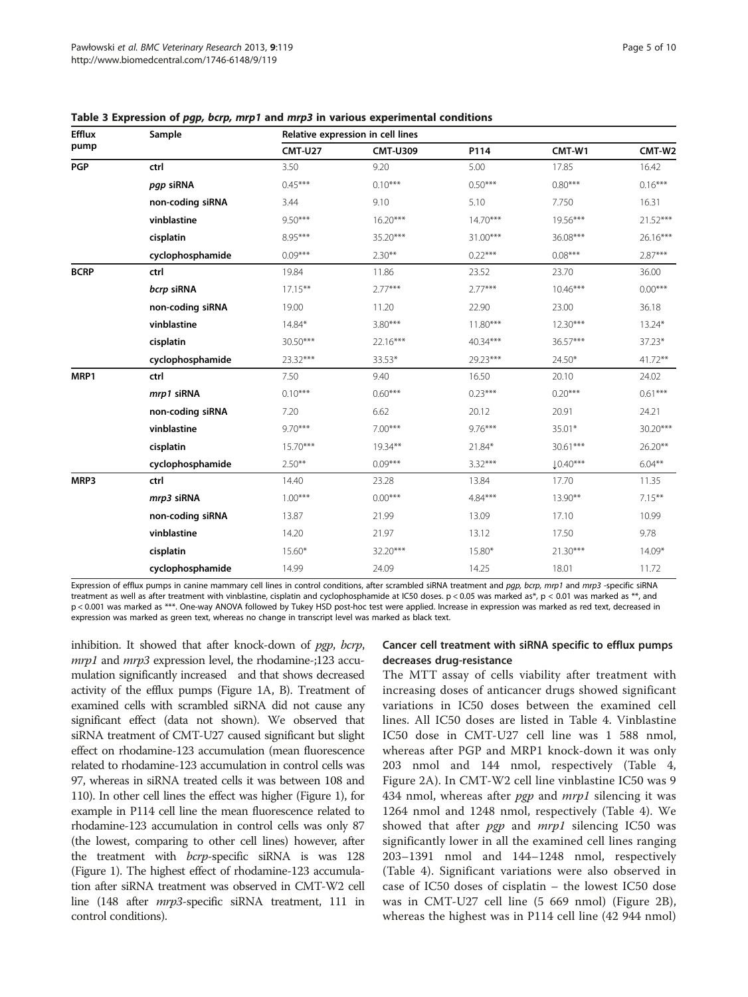| Efflux<br>pump | Sample           | Relative expression in cell lines |                 |            |            |            |  |
|----------------|------------------|-----------------------------------|-----------------|------------|------------|------------|--|
|                |                  | <b>CMT-U27</b>                    | <b>CMT-U309</b> | P114       | CMT-W1     | CMT-W2     |  |
| <b>PGP</b>     | ctrl             | 3.50                              | 9.20            | 5.00       | 17.85      | 16.42      |  |
|                | pgp siRNA        | $0.45***$                         | $0.10***$       | $0.50***$  | $0.80***$  | $0.16***$  |  |
|                | non-coding siRNA | 3.44                              | 9.10            | 5.10       | 7.750      | 16.31      |  |
|                | vinblastine      | $9.50***$                         | $16.20***$      | $14.70***$ | 19.56***   | 21.52***   |  |
|                | cisplatin        | 8.95***                           | 35.20***        | $31.00***$ | 36.08***   | $26.16***$ |  |
|                | cyclophosphamide | $0.09***$                         | $2.30**$        | $0.22***$  | $0.08***$  | $2.87***$  |  |
| <b>BCRP</b>    | ctrl             | 19.84                             | 11.86           | 23.52      | 23.70      | 36.00      |  |
|                | bcrp siRNA       | $17.15***$                        | $2.77***$       | $2.77***$  | $10.46***$ | $0.00***$  |  |
|                | non-coding siRNA | 19.00                             | 11.20           | 22.90      | 23.00      | 36.18      |  |
|                | vinblastine      | 14.84*                            | $3.80***$       | $11.80***$ | $12.30***$ | 13.24*     |  |
|                | cisplatin        | 30.50***                          | 22.16***        | 40.34***   | 36.57***   | 37.23*     |  |
|                | cyclophosphamide | 23.32***                          | 33.53*          | 29.23***   | 24.50*     | $41.72**$  |  |
| MRP1           | ctrl             | 7.50                              | 9.40            | 16.50      | 20.10      | 24.02      |  |
|                | mrp1 siRNA       | $0.10***$                         | $0.60***$       | $0.23***$  | $0.20***$  | $0.61***$  |  |
|                | non-coding siRNA | 7.20                              | 6.62            | 20.12      | 20.91      | 24.21      |  |
|                | vinblastine      | $9.70***$                         | $7.00***$       | $9.76***$  | 35.01*     | 30.20***   |  |
|                | cisplatin        | $15.70***$                        | $19.34***$      | 21.84*     | 30.61***   | 26.20**    |  |
|                | cyclophosphamide | $2.50***$                         | $0.09***$       | $3.32***$  | $10.40***$ | $6.04***$  |  |
| MRP3           | ctrl             | 14.40                             | 23.28           | 13.84      | 17.70      | 11.35      |  |
|                | mrp3 siRNA       | $1.00***$                         | $0.00***$       | $4.84***$  | $13.90**$  | $7.15***$  |  |
|                | non-coding siRNA | 13.87                             | 21.99           | 13.09      | 17.10      | 10.99      |  |
|                | vinblastine      | 14.20                             | 21.97           | 13.12      | 17.50      | 9.78       |  |
|                | cisplatin        | $15.60*$                          | 32.20***        | 15.80*     | $21.30***$ | 14.09*     |  |
|                | cyclophosphamide | 14.99                             | 24.09           | 14.25      | 18.01      | 11.72      |  |

<span id="page-4-0"></span>Table 3 Expression of pgp, bcrp, mrp1 and mrp3 in various experimental conditions

Expression of efflux pumps in canine mammary cell lines in control conditions, after scrambled siRNA treatment and pap, bcrp, mrp1 and mrp3 -specific siRNA treatment as well as after treatment with vinblastine, cisplatin and cyclophosphamide at IC50 doses. p < 0.05 was marked as\*, p < 0.01 was marked as \*\*, and p < 0.001 was marked as \*\*\*. One-way ANOVA followed by Tukey HSD post-hoc test were applied. Increase in expression was marked as red text, decreased in expression was marked as green text, whereas no change in transcript level was marked as black text.

inhibition. It showed that after knock-down of pgp, bcrp, *mrp1* and *mrp3* expression level, the rhodamine-;123 accumulation significantly increased and that shows decreased activity of the efflux pumps (Figure [1](#page-5-0)A, B). Treatment of examined cells with scrambled siRNA did not cause any significant effect (data not shown). We observed that siRNA treatment of CMT-U27 caused significant but slight effect on rhodamine-123 accumulation (mean fluorescence related to rhodamine-123 accumulation in control cells was 97, whereas in siRNA treated cells it was between 108 and 110). In other cell lines the effect was higher (Figure [1](#page-5-0)), for example in P114 cell line the mean fluorescence related to rhodamine-123 accumulation in control cells was only 87 (the lowest, comparing to other cell lines) however, after the treatment with bcrp-specific siRNA is was 128 (Figure [1](#page-5-0)). The highest effect of rhodamine-123 accumulation after siRNA treatment was observed in CMT-W2 cell line (148 after mrp3-specific siRNA treatment, 111 in control conditions).

#### Cancer cell treatment with siRNA specific to efflux pumps decreases drug-resistance

The MTT assay of cells viability after treatment with increasing doses of anticancer drugs showed significant variations in IC50 doses between the examined cell lines. All IC50 doses are listed in Table [4.](#page-5-0) Vinblastine IC50 dose in CMT-U27 cell line was 1 588 nmol, whereas after PGP and MRP1 knock-down it was only 203 nmol and 144 nmol, respectively (Table [4](#page-5-0), Figure [2A](#page-6-0)). In CMT-W2 cell line vinblastine IC50 was 9 434 nmol, whereas after  $pgp$  and  $mrp1$  silencing it was 1264 nmol and 1248 nmol, respectively (Table [4](#page-5-0)). We showed that after *pgp* and *mrp1* silencing IC50 was significantly lower in all the examined cell lines ranging 203–1391 nmol and 144–1248 nmol, respectively (Table [4](#page-5-0)). Significant variations were also observed in case of IC50 doses of cisplatin – the lowest IC50 dose was in CMT-U27 cell line (5 669 nmol) (Figure [2](#page-6-0)B), whereas the highest was in P114 cell line (42 944 nmol)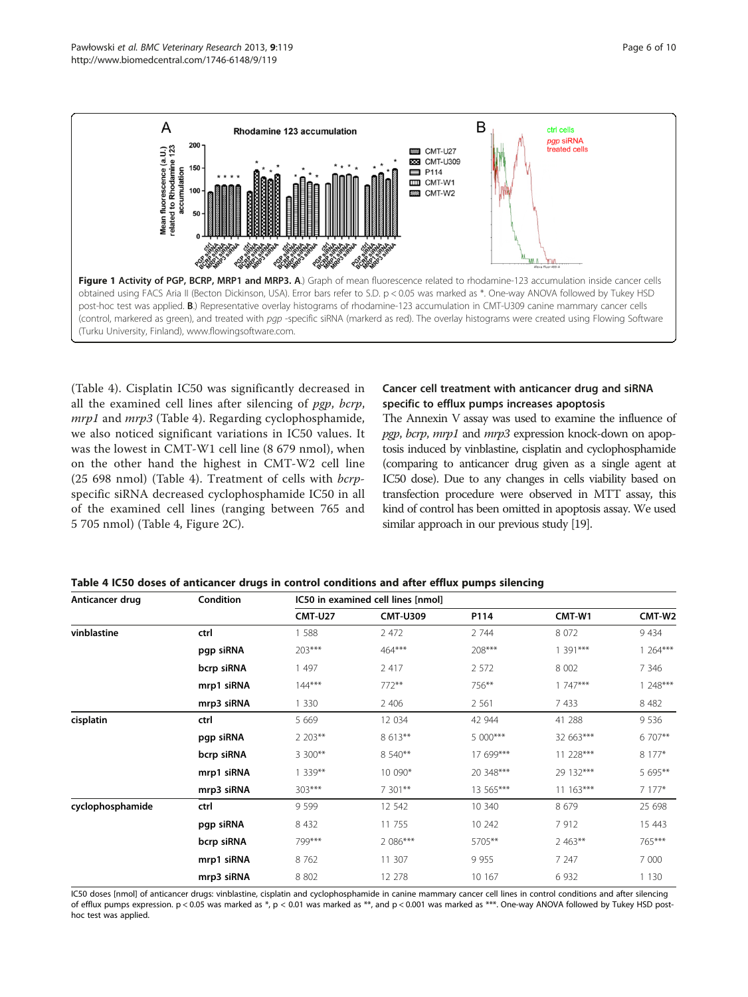<span id="page-5-0"></span>

(Table 4). Cisplatin IC50 was significantly decreased in all the examined cell lines after silencing of pgp, bcrp, mrp1 and mrp3 (Table 4). Regarding cyclophosphamide, we also noticed significant variations in IC50 values. It was the lowest in CMT-W1 cell line (8 679 nmol), when on the other hand the highest in CMT-W2 cell line (25 698 nmol) (Table 4). Treatment of cells with bcrpspecific siRNA decreased cyclophosphamide IC50 in all of the examined cell lines (ranging between 765 and 5 705 nmol) (Table 4, Figure [2](#page-6-0)C).

#### Cancer cell treatment with anticancer drug and siRNA specific to efflux pumps increases apoptosis

The Annexin V assay was used to examine the influence of pgp, bcrp, mrp1 and mrp3 expression knock-down on apoptosis induced by vinblastine, cisplatin and cyclophosphamide (comparing to anticancer drug given as a single agent at IC50 dose). Due to any changes in cells viability based on transfection procedure were observed in MTT assay, this kind of control has been omitted in apoptosis assay. We used similar approach in our previous study [[19\]](#page-8-0).

| Table 4 IC50 doses of anticancer drugs in control conditions and after efflux pumps silencing |  |  |  |
|-----------------------------------------------------------------------------------------------|--|--|--|
|-----------------------------------------------------------------------------------------------|--|--|--|

| Anticancer drug  | Condition  | IC50 in examined cell lines [nmol] |                 |           |             |           |
|------------------|------------|------------------------------------|-----------------|-----------|-------------|-----------|
|                  |            | <b>CMT-U27</b>                     | <b>CMT-U309</b> | P114      | CMT-W1      | CMT-W2    |
| vinblastine      | ctrl       | 1 5 8 8                            | 2 4 7 2         | 2 744     | 8 0 7 2     | 9434      |
|                  | pgp siRNA  | $203***$                           | $464***$        | 208***    | 1 391***    | $1264***$ |
|                  | bcrp siRNA | 1 497                              | 2 4 1 7         | 2 5 7 2   | 8 0 0 2     | 7 3 4 6   |
|                  | mrp1 siRNA | $144***$                           | $772**$         | 756**     | $1747***$   | $1248***$ |
|                  | mrp3 siRNA | 1 3 3 0                            | 2 4 0 6         | 2 5 6 1   | 7 4 3 3     | 8 4 8 2   |
| cisplatin        | ctrl       | 5 6 6 9                            | 12 034          | 42 944    | 41 288      | 9536      |
|                  | pgp siRNA  | 2 203**                            | 8 613**         | 5 000***  | 32 663***   | 6 707**   |
|                  | bcrp siRNA | 3 300**                            | 8 540**         | 17 699*** | 11 228***   | 8 177*    |
|                  | mrp1 siRNA | $1339**$                           | 10 090*         | 20 348*** | 29 132***   | 5 695**   |
|                  | mrp3 siRNA | $303***$                           | 7 301**         | 13 565*** | $11.163***$ | $7177*$   |
| cyclophosphamide | ctrl       | 9 5 9 9                            | 12 542          | 10 340    | 8679        | 25 698    |
|                  | pgp siRNA  | 8 4 3 2                            | 11 755          | 10 242    | 7912        | 15 4 43   |
|                  | bcrp siRNA | 799***                             | 2 086***        | 5705**    | $2.463***$  | 765***    |
|                  | mrp1 siRNA | 8762                               | 11 307          | 9 9 5 5   | 7 247       | 7 000     |
|                  | mrp3 siRNA | 8 8 0 2                            | 12 278          | 10 167    | 6 9 32      | 1 1 3 0   |

IC50 doses [nmol] of anticancer drugs: vinblastine, cisplatin and cyclophosphamide in canine mammary cancer cell lines in control conditions and after silencing of efflux pumps expression. p < 0.05 was marked as \*, p < 0.01 was marked as \*\*, and p < 0.001 was marked as \*\*\*. One-way ANOVA followed by Tukey HSD posthoc test was applied.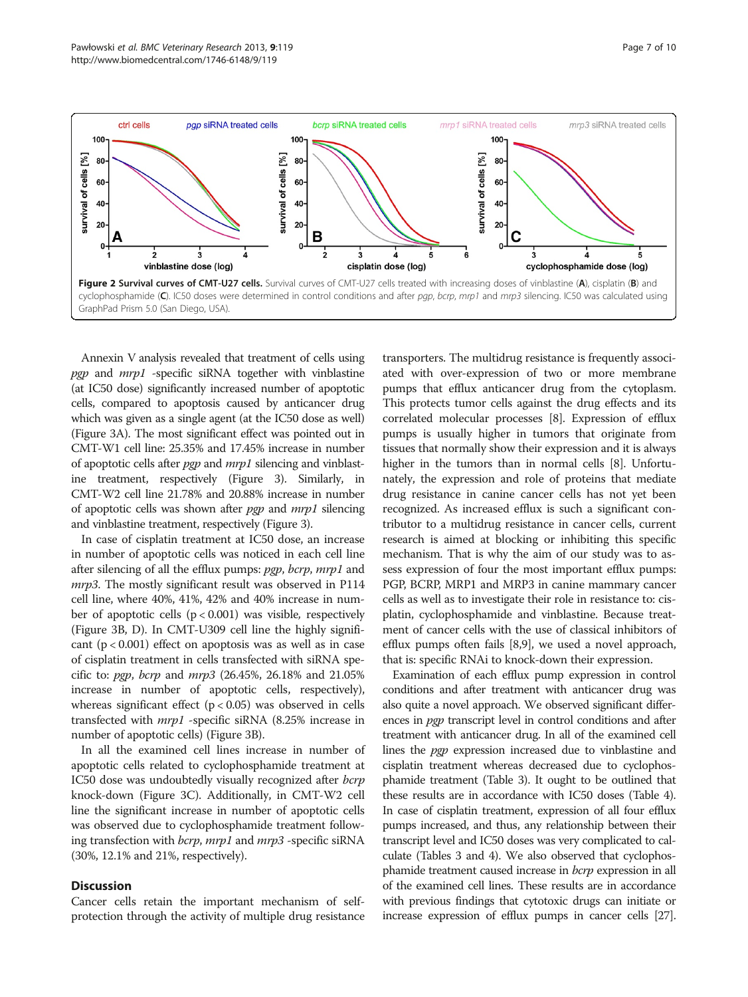<span id="page-6-0"></span>

Annexin V analysis revealed that treatment of cells using pgp and  $mrp1$  -specific siRNA together with vinblastine (at IC50 dose) significantly increased number of apoptotic cells, compared to apoptosis caused by anticancer drug which was given as a single agent (at the IC50 dose as well) (Figure [3](#page-7-0)A). The most significant effect was pointed out in CMT-W1 cell line: 25.35% and 17.45% increase in number of apoptotic cells after *pgp* and *mrp1* silencing and vinblastine treatment, respectively (Figure [3](#page-7-0)). Similarly, in CMT-W2 cell line 21.78% and 20.88% increase in number of apoptotic cells was shown after pgp and mrp1 silencing and vinblastine treatment, respectively (Figure [3](#page-7-0)).

In case of cisplatin treatment at IC50 dose, an increase in number of apoptotic cells was noticed in each cell line after silencing of all the efflux pumps: pgp, bcrp, mrp1 and mrp3. The mostly significant result was observed in P114 cell line, where 40%, 41%, 42% and 40% increase in number of apoptotic cells  $(p < 0.001)$  was visible, respectively (Figure [3](#page-7-0)B, D). In CMT-U309 cell line the highly significant  $(p < 0.001)$  effect on apoptosis was as well as in case of cisplatin treatment in cells transfected with siRNA specific to: pgp, bcrp and mrp3 (26.45%, 26.18% and 21.05% increase in number of apoptotic cells, respectively), whereas significant effect  $(p < 0.05)$  was observed in cells transfected with mrp1 -specific siRNA (8.25% increase in number of apoptotic cells) (Figure [3](#page-7-0)B).

In all the examined cell lines increase in number of apoptotic cells related to cyclophosphamide treatment at IC50 dose was undoubtedly visually recognized after bcrp knock-down (Figure [3C](#page-7-0)). Additionally, in CMT-W2 cell line the significant increase in number of apoptotic cells was observed due to cyclophosphamide treatment following transfection with *bcrp*, *mrp1* and *mrp3* -specific siRNA (30%, 12.1% and 21%, respectively).

#### **Discussion**

Cancer cells retain the important mechanism of selfprotection through the activity of multiple drug resistance

transporters. The multidrug resistance is frequently associated with over-expression of two or more membrane pumps that efflux anticancer drug from the cytoplasm. This protects tumor cells against the drug effects and its correlated molecular processes [\[8](#page-8-0)]. Expression of efflux pumps is usually higher in tumors that originate from tissues that normally show their expression and it is always higher in the tumors than in normal cells [[8\]](#page-8-0). Unfortunately, the expression and role of proteins that mediate drug resistance in canine cancer cells has not yet been recognized. As increased efflux is such a significant contributor to a multidrug resistance in cancer cells, current research is aimed at blocking or inhibiting this specific mechanism. That is why the aim of our study was to assess expression of four the most important efflux pumps: PGP, BCRP, MRP1 and MRP3 in canine mammary cancer cells as well as to investigate their role in resistance to: cisplatin, cyclophosphamide and vinblastine. Because treatment of cancer cells with the use of classical inhibitors of efflux pumps often fails [[8,9](#page-8-0)], we used a novel approach, that is: specific RNAi to knock-down their expression.

Examination of each efflux pump expression in control conditions and after treatment with anticancer drug was also quite a novel approach. We observed significant differences in *pgp* transcript level in control conditions and after treatment with anticancer drug. In all of the examined cell lines the pgp expression increased due to vinblastine and cisplatin treatment whereas decreased due to cyclophosphamide treatment (Table [3](#page-4-0)). It ought to be outlined that these results are in accordance with IC50 doses (Table [4](#page-5-0)). In case of cisplatin treatment, expression of all four efflux pumps increased, and thus, any relationship between their transcript level and IC50 doses was very complicated to calculate (Tables [3](#page-4-0) and [4](#page-5-0)). We also observed that cyclophosphamide treatment caused increase in *bcrp* expression in all of the examined cell lines. These results are in accordance with previous findings that cytotoxic drugs can initiate or increase expression of efflux pumps in cancer cells [\[27](#page-9-0)].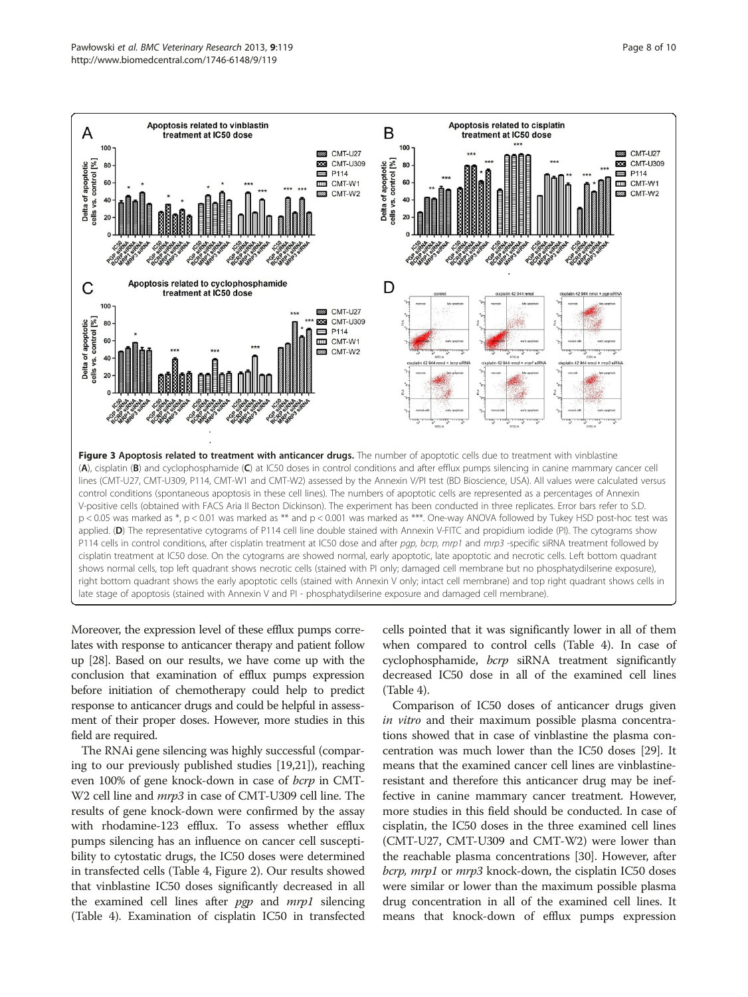<span id="page-7-0"></span>

Moreover, the expression level of these efflux pumps correlates with response to anticancer therapy and patient follow up [[28](#page-9-0)]. Based on our results, we have come up with the conclusion that examination of efflux pumps expression before initiation of chemotherapy could help to predict response to anticancer drugs and could be helpful in assessment of their proper doses. However, more studies in this field are required.

The RNAi gene silencing was highly successful (comparing to our previously published studies [\[19,21](#page-8-0)]), reaching even 100% of gene knock-down in case of *bcrp* in CMT-W2 cell line and *mrp3* in case of CMT-U309 cell line. The results of gene knock-down were confirmed by the assay with rhodamine-123 efflux. To assess whether efflux pumps silencing has an influence on cancer cell susceptibility to cytostatic drugs, the IC50 doses were determined in transfected cells (Table [4,](#page-5-0) Figure [2](#page-6-0)). Our results showed that vinblastine IC50 doses significantly decreased in all the examined cell lines after *pgp* and *mrp1* silencing (Table [4\)](#page-5-0). Examination of cisplatin IC50 in transfected cells pointed that it was significantly lower in all of them when compared to control cells (Table [4\)](#page-5-0). In case of cyclophosphamide, bcrp siRNA treatment significantly decreased IC50 dose in all of the examined cell lines (Table [4](#page-5-0)).

Comparison of IC50 doses of anticancer drugs given in vitro and their maximum possible plasma concentrations showed that in case of vinblastine the plasma concentration was much lower than the IC50 doses [\[29\]](#page-9-0). It means that the examined cancer cell lines are vinblastineresistant and therefore this anticancer drug may be ineffective in canine mammary cancer treatment. However, more studies in this field should be conducted. In case of cisplatin, the IC50 doses in the three examined cell lines (CMT-U27, CMT-U309 and CMT-W2) were lower than the reachable plasma concentrations [[30](#page-9-0)]. However, after bcrp, mrp1 or mrp3 knock-down, the cisplatin IC50 doses were similar or lower than the maximum possible plasma drug concentration in all of the examined cell lines. It means that knock-down of efflux pumps expression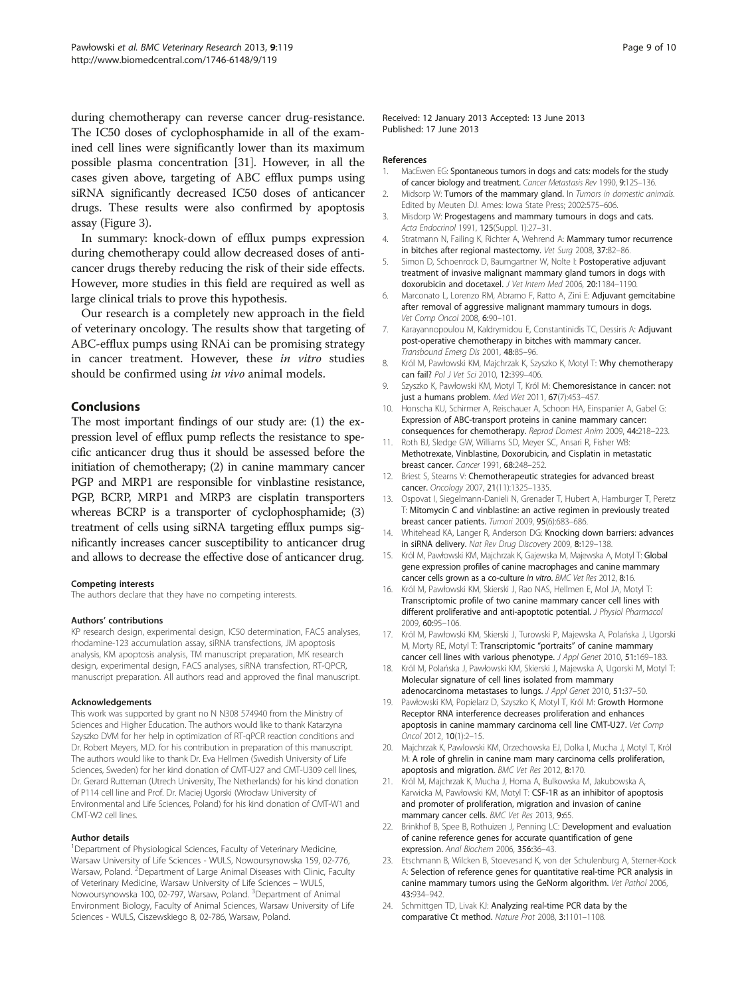<span id="page-8-0"></span>during chemotherapy can reverse cancer drug-resistance. The IC50 doses of cyclophosphamide in all of the examined cell lines were significantly lower than its maximum possible plasma concentration [\[31](#page-9-0)]. However, in all the cases given above, targeting of ABC efflux pumps using siRNA significantly decreased IC50 doses of anticancer drugs. These results were also confirmed by apoptosis assay (Figure [3](#page-7-0)).

In summary: knock-down of efflux pumps expression during chemotherapy could allow decreased doses of anticancer drugs thereby reducing the risk of their side effects. However, more studies in this field are required as well as large clinical trials to prove this hypothesis.

Our research is a completely new approach in the field of veterinary oncology. The results show that targeting of ABC-efflux pumps using RNAi can be promising strategy in cancer treatment. However, these in vitro studies should be confirmed using in vivo animal models.

#### Conclusions

The most important findings of our study are: (1) the expression level of efflux pump reflects the resistance to specific anticancer drug thus it should be assessed before the initiation of chemotherapy; (2) in canine mammary cancer PGP and MRP1 are responsible for vinblastine resistance, PGP, BCRP, MRP1 and MRP3 are cisplatin transporters whereas BCRP is a transporter of cyclophosphamide; (3) treatment of cells using siRNA targeting efflux pumps significantly increases cancer susceptibility to anticancer drug and allows to decrease the effective dose of anticancer drug.

#### Competing interests

The authors declare that they have no competing interests.

#### Authors' contributions

KP research design, experimental design, IC50 determination, FACS analyses, rhodamine-123 accumulation assay, siRNA transfections, JM apoptosis analysis, KM apoptosis analysis, TM manuscript preparation, MK research design, experimental design, FACS analyses, siRNA transfection, RT-QPCR, manuscript preparation. All authors read and approved the final manuscript.

#### Acknowledgements

This work was supported by grant no N N308 574940 from the Ministry of Sciences and Higher Education. The authors would like to thank Katarzyna Szyszko DVM for her help in optimization of RT-qPCR reaction conditions and Dr. Robert Meyers, M.D. for his contribution in preparation of this manuscript. The authors would like to thank Dr. Eva Hellmen (Swedish University of Life Sciences, Sweden) for her kind donation of CMT-U27 and CMT-U309 cell lines, Dr. Gerard Rutteman (Utrech University, The Netherlands) for his kind donation of P114 cell line and Prof. Dr. Maciej Ugorski (Wrocław University of Environmental and Life Sciences, Poland) for his kind donation of CMT-W1 and CMT-W2 cell lines.

#### Author details

<sup>1</sup>Department of Physiological Sciences, Faculty of Veterinary Medicine, Warsaw University of Life Sciences - WULS, Nowoursynowska 159, 02-776, Warsaw, Poland. <sup>2</sup>Department of Large Animal Diseases with Clinic, Faculty of Veterinary Medicine, Warsaw University of Life Sciences – WULS, Nowoursynowska 100, 02-797, Warsaw, Poland. <sup>3</sup>Department of Animal Environment Biology, Faculty of Animal Sciences, Warsaw University of Life Sciences - WULS, Ciszewskiego 8, 02-786, Warsaw, Poland.

Received: 12 January 2013 Accepted: 13 June 2013 Published: 17 June 2013

#### References

- 1. MacEwen EG: Spontaneous tumors in dogs and cats: models for the study of cancer biology and treatment. Cancer Metastasis Rev 1990, 9:125–136.
- 2. Midsorp W: Tumors of the mammary gland. In Tumors in domestic animals. Edited by Meuten DJ. Ames: Iowa State Press; 2002:575–606.
- 3. Misdorp W: Progestagens and mammary tumours in dogs and cats. Acta Endocrinol 1991, 125(Suppl. 1):27–31.
- 4. Stratmann N, Failing K, Richter A, Wehrend A: Mammary tumor recurrence in bitches after regional mastectomy. Vet Surg 2008, 37:82–86.
- 5. Simon D, Schoenrock D, Baumgartner W, Nolte I: Postoperative adjuvant treatment of invasive malignant mammary gland tumors in dogs with doxorubicin and docetaxel. J Vet Intern Med 2006, 20:1184-1190.
- 6. Marconato L, Lorenzo RM, Abramo F, Ratto A, Zini E: Adjuvant gemcitabine after removal of aggressive malignant mammary tumours in dogs. Vet Comp Oncol 2008, 6:90–101.
- 7. Karayannopoulou M, Kaldrymidou E, Constantinidis TC, Dessiris A: Adjuvant post-operative chemotherapy in bitches with mammary cancer. Transbound Emerg Dis 2001, 48:85–96.
- 8. Król M, Pawłowski KM, Majchrzak K, Szyszko K, Motyl T: Why chemotherapy can fail? Pol J Vet Sci 2010, 12:399–406.
- 9. Szyszko K, Pawłowski KM, Motyl T, Król M: Chemoresistance in cancer: not just a humans problem. Med Wet 2011, 67(7):453–457.
- 10. Honscha KU, Schirmer A, Reischauer A, Schoon HA, Einspanier A, Gabel G: Expression of ABC-transport proteins in canine mammary cancer: consequences for chemotherapy. Reprod Domest Anim 2009, 44:218–223.
- 11. Roth BJ, Sledge GW, Williams SD, Meyer SC, Ansari R, Fisher WB: Methotrexate, Vinblastine, Doxorubicin, and Cisplatin in metastatic breast cancer. Cancer 1991, 68:248–252.
- 12. Briest S, Stearns V: Chemotherapeutic strategies for advanced breast cancer. Oncology 2007, 21(11):1325–1335.
- 13. Ospovat I, Siegelmann-Danieli N, Grenader T, Hubert A, Hamburger T, Peretz T: Mitomycin C and vinblastine: an active regimen in previously treated breast cancer patients. Tumori 2009, 95(6):683–686.
- 14. Whitehead KA, Langer R, Anderson DG: Knocking down barriers: advances in siRNA delivery. Nat Rev Drug Discovery 2009, 8:129–138.
- 15. Król M, Pawłowski KM, Majchrzak K, Gajewska M, Majewska A, Motyl T: Global gene expression profiles of canine macrophages and canine mammary cancer cells grown as a co-culture in vitro. BMC Vet Res 2012, 8:16.
- 16. Król M, Pawłowski KM, Skierski J, Rao NAS, Hellmen E, Mol JA, Motyl T: Transcriptomic profile of two canine mammary cancer cell lines with different proliferative and anti-apoptotic potential. J Physiol Pharmacol 2009, 60:95–106.
- 17. Król M, Pawłowski KM, Skierski J, Turowski P, Majewska A, Polańska J, Ugorski M, Morty RE, Motyl T: Transcriptomic "portraits" of canine mammary cancer cell lines with various phenotype. J Appl Genet 2010, 51:169-183.
- 18. Król M, Polańska J, Pawłowski KM, Skierski J, Majewska A, Ugorski M, Motyl T: Molecular signature of cell lines isolated from mammary adenocarcinoma metastases to lungs. J Appl Genet 2010, 51:37-50.
- 19. Pawłowski KM, Popielarz D, Szyszko K, Motyl T, Król M: Growth Hormone Receptor RNA interference decreases proliferation and enhances apoptosis in canine mammary carcinoma cell line CMT-U27. Vet Comp Oncol 2012, 10(1):2–15.
- 20. Majchrzak K, Pawlowski KM, Orzechowska EJ, Dolka I, Mucha J, Motyl T, Król M: A role of ghrelin in canine mam mary carcinoma cells proliferation, apoptosis and migration. BMC Vet Res 2012, 8:170.
- 21. Król M, Majchrzak K, Mucha J, Homa A, Bulkowska M, Jakubowska A, Karwicka M, Pawłowski KM, Motyl T: CSF-1R as an inhibitor of apoptosis and promoter of proliferation, migration and invasion of canine mammary cancer cells. BMC Vet Res 2013, 9:65
- 22. Brinkhof B, Spee B, Rothuizen J, Penning LC: Development and evaluation of canine reference genes for accurate quantification of gene expression. Anal Biochem 2006, 356:36-43.
- 23. Etschmann B, Wilcken B, Stoevesand K, von der Schulenburg A, Sterner-Kock A: Selection of reference genes for quantitative real-time PCR analysis in canine mammary tumors using the GeNorm algorithm. Vet Pathol 2006, 43:934–942.
- 24. Schmittgen TD, Livak KJ: Analyzing real-time PCR data by the comparative Ct method. Nature Prot 2008, 3:1101–1108.